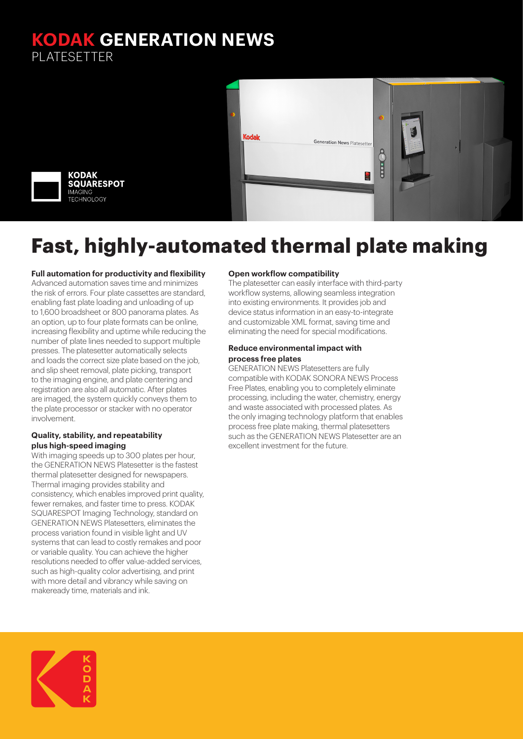### **KODAK GENERATION NEWS** PLATESETTER



# **Fast, highly-automated thermal plate making**

#### **Full automation for productivity and flexibility**

Advanced automation saves time and minimizes the risk of errors. Four plate cassettes are standard, enabling fast plate loading and unloading of up to 1,600 broadsheet or 800 panorama plates. As an option, up to four plate formats can be online, increasing flexibility and uptime while reducing the number of plate lines needed to support multiple presses. The platesetter automatically selects and loads the correct size plate based on the job, and slip sheet removal, plate picking, transport to the imaging engine, and plate centering and registration are also all automatic. After plates are imaged, the system quickly conveys them to the plate processor or stacker with no operator involvement.

#### **Quality, stability, and repeatability plus high-speed imaging**

With imaging speeds up to 300 plates per hour, the GENERATION NEWS Platesetter is the fastest thermal platesetter designed for newspapers. Thermal imaging provides stability and consistency, which enables improved print quality, fewer remakes, and faster time to press. KODAK SQUARESPOT Imaging Technology, standard on GENERATION NEWS Platesetters, eliminates the process variation found in visible light and UV systems that can lead to costly remakes and poor or variable quality. You can achieve the higher resolutions needed to offer value-added services, such as high-quality color advertising, and print with more detail and vibrancy while saving on makeready time, materials and ink.

#### **Open workflow compatibility**

The platesetter can easily interface with third-party workflow systems, allowing seamless integration into existing environments. It provides job and device status information in an easy-to-integrate and customizable XML format, saving time and eliminating the need for special modifications.

#### **Reduce environmental impact with process free plates**

GENERATION NEWS Platesetters are fully compatible with KODAK SONORA NEWS Process Free Plates, enabling you to completely eliminate processing, including the water, chemistry, energy and waste associated with processed plates. As the only imaging technology platform that enables process free plate making, thermal platesetters such as the GENERATION NEWS Platesetter are an excellent investment for the future.